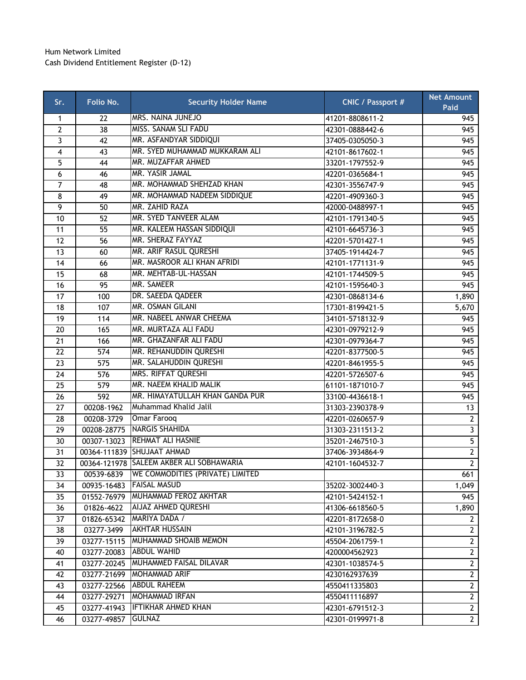## Hum Network Limited Cash Dividend Entitlement Register (D-12)

| Sr.             | Folio No.       | <b>Security Holder Name</b>              | <b>CNIC / Passport #</b> | <b>Net Amount</b><br>Paid |
|-----------------|-----------------|------------------------------------------|--------------------------|---------------------------|
| $\mathbf{1}$    | 22              | <b>MRS. NAINA JUNEJO</b>                 | 41201-8808611-2          | 945                       |
| $\overline{2}$  | $\overline{38}$ | MISS. SANAM SLI FADU                     | 42301-0888442-6          | 945                       |
| 3               | 42              | MR. ASFANDYAR SIDDIQUI                   | 37405-0305050-3          | 945                       |
| $\overline{4}$  | 43              | MR. SYED MUHAMMAD MUKKARAM ALI           | 42101-8617602-1          | 945                       |
| 5               | 44              | MR. MUZAFFAR AHMED                       | 33201-1797552-9          | 945                       |
| 6               | 46              | MR. YASIR JAMAL                          | 42201-0365684-1          | 945                       |
| $\overline{7}$  | 48              | MR. MOHAMMAD SHEHZAD KHAN                | 42301-3556747-9          | 945                       |
| 8               | 49              | MR. MOHAMMAD NADEEM SIDDIQUE             | 42201-4909360-3          | 945                       |
| 9               | 50              | MR. ZAHID RAZA                           | 42000-0488997-1          | 945                       |
| 10              | 52              | MR. SYED TANVEER ALAM                    | 42101-1791340-5          | 945                       |
| 11              | 55              | MR. KALEEM HASSAN SIDDIQUI               | 42101-6645736-3          | 945                       |
| 12              | 56              | MR. SHERAZ FAYYAZ                        | 42201-5701427-1          | 945                       |
| 13              | 60              | MR. ARIF RASUL QURESHI                   | 37405-1914424-7          | 945                       |
| 14              | 66              | MR. MASROOR ALI KHAN AFRIDI              | 42101-1771131-9          | 945                       |
| 15              | 68              | MR. MEHTAB-UL-HASSAN                     | 42101-1744509-5          | 945                       |
| 16              | 95              | MR. SAMEER                               | 42101-1595640-3          | 945                       |
| 17              | 100             | DR. SAEEDA QADEER                        | 42301-0868134-6          | 1,890                     |
| 18              | 107             | MR. OSMAN GILANI                         | 17301-8199421-5          | 5,670                     |
| 19              | 114             | MR. NABEEL ANWAR CHEEMA                  | 34101-5718132-9          | 945                       |
| 20              | 165             | MR. MURTAZA ALI FADU                     | 42301-0979212-9          | 945                       |
| 21              | 166             | MR. GHAZANFAR ALI FADU                   | 42301-0979364-7          | 945                       |
| 22              | 574             | MR. REHANUDDIN QURESHI                   | 42201-8377500-5          | 945                       |
| 23              | 575             | MR. SALAHUDDIN QURESHI                   | 42201-8461955-5          | 945                       |
| 24              | 576             | MRS. RIFFAT QURESHI                      | 42201-5726507-6          | 945                       |
| 25              | 579             | MR. NAEEM KHALID MALIK                   | 61101-1871010-7          | 945                       |
| 26              | 592             | MR. HIMAYATULLAH KHAN GANDA PUR          | 33100-4436618-1          | 945                       |
| $\overline{27}$ | 00208-1962      | Muhammad Khalid Jalil                    | 31303-2390378-9          | 13                        |
| 28              | 00208-3729      | Omar Farooq                              | 42201-0260657-9          | $2^{\circ}$               |
| $\overline{29}$ | 00208-28775     | <b>NARGIS SHAHIDA</b>                    | 31303-2311513-2          | $\overline{3}$            |
| 30              | 00307-13023     | <b>REHMAT ALI HASNIE</b>                 | 35201-2467510-3          | $\overline{5}$            |
| 31              |                 | 00364-111839 SHUJAAT AHMAD               | 37406-3934864-9          | $\overline{2}$            |
| 32              |                 | 00364-121978 SALEEM AKBER ALI SOBHAWARIA | 42101-1604532-7          | $\overline{2}$            |
| 33              | 00539-6839      | WE COMMODITIES (PRIVATE) LIMITED         |                          | 661                       |
| 34              | 00935-16483     | <b>FAISAL MASUD</b>                      | 35202-3002440-3          | 1,049                     |
| 35              |                 | 01552-76979 MUHAMMAD FEROZ AKHTAR        | 42101-5424152-1          | 945                       |
| 36              | 01826-4622      | AIJAZ AHMED QURESHI                      | 41306-6618560-5          | 1,890                     |
| 37              |                 | 01826-65342 MARIYA DADA /                | 42201-8172658-0          | $\mathbf{2}$              |
| 38              | 03277-3499      | <b>AKHTAR HUSSAIN</b>                    | 42101-3196782-5          | $2^{\circ}$               |
| 39              | 03277-15115     | MUHAMMAD SHOAIB MEMON                    | 45504-2061759-1          | $2^{\circ}$               |
| 40              | 03277-20083     | <b>ABDUL WAHID</b>                       | 4200004562923            | $2^{\circ}$               |
| 41              | 03277-20245     | MUHAMMED FAISAL DILAVAR                  | 42301-1038574-5          | $2^{\circ}$               |
| 42              |                 | 03277-21699   MOHAMMAD ARIF              | 4230162937639            | $2^{\circ}$               |
| 43              | 03277-22566     | <b>ABDUL RAHEEM</b>                      | 4550411335803            | $2^{\circ}$               |
| 44              | 03277-29271     | MOHAMMAD IRFAN                           | 4550411116897            | $\mathbf{2}$              |
| 45              |                 | 03277-41943 <b>IFTIKHAR AHMED KHAN</b>   | 42301-6791512-3          | $\overline{2}$            |
| 46              | 03277-49857     | <b>GULNAZ</b>                            | 42301-0199971-8          | $2^{\circ}$               |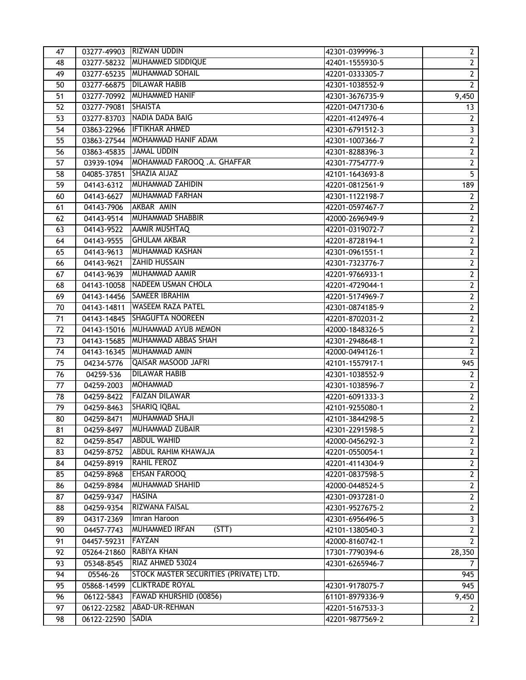| 47 |                     | 03277-49903 RIZWAN UDDIN                 | 42301-0399996-3 | $\mathbf{2}$            |
|----|---------------------|------------------------------------------|-----------------|-------------------------|
| 48 |                     | 03277-58232 MUHAMMED SIDDIQUE            | 42401-1555930-5 | $2\overline{ }$         |
| 49 |                     | 03277-65235 MUHAMMAD SOHAIL              | 42201-0333305-7 | $\overline{2}$          |
| 50 |                     | 03277-66875 DILAWAR HABIB                | 42301-1038552-9 | $\overline{2}$          |
| 51 |                     | 03277-70992 MUHAMMED HANIF               | 42301-3676735-9 | 9,450                   |
| 52 | 03277-79081 SHAISTA |                                          | 42201-0471730-6 | 13                      |
| 53 |                     | 03277-83703 NADIA DADA BAIG              | 42201-4124976-4 | $2^{\circ}$             |
| 54 |                     | 03863-22966 IFTIKHAR AHMED               | 42301-6791512-3 | $\overline{\mathbf{3}}$ |
| 55 |                     | 03863-27544 MOHAMMAD HANIF ADAM          | 42301-1007366-7 | $\overline{2}$          |
| 56 |                     | 03863-45835 JAMAL UDDIN                  | 42301-8288396-3 | $\overline{2}$          |
| 57 |                     | 03939-1094   MOHAMMAD FAROOQ .A. GHAFFAR | 42301-7754777-9 | $\overline{2}$          |
| 58 | 04085-37851         | SHAZIA AIJAZ                             | 42101-1643693-8 | $\overline{5}$          |
| 59 | 04143-6312          | <b>MUHAMMAD ZAHIDIN</b>                  | 42201-0812561-9 | 189                     |
| 60 | 04143-6627          | <b>MUHAMMAD FARHAN</b>                   | 42301-1122198-7 | $2^{\circ}$             |
| 61 | 04143-7906          | AKBAR AMIN                               | 42201-0597467-7 | $\overline{2}$          |
| 62 | 04143-9514          | <b>MUHAMMAD SHABBIR</b>                  | 42000-2696949-9 | $\overline{2}$          |
| 63 | 04143-9522          | <b>AAMIR MUSHTAQ</b>                     | 42201-0319072-7 | $\overline{2}$          |
| 64 |                     | 04143-9555 GHULAM AKBAR                  | 42201-8728194-1 | $\overline{2}$          |
| 65 |                     | 04143-9613 MUHAMMAD KASHAN               | 42301-0961551-1 | $\overline{2}$          |
| 66 | 04143-9621          | <b>ZAHID HUSSAIN</b>                     | 42301-7323776-7 | $2^{\circ}$             |
| 67 |                     | 04143-9639 MUHAMMAD AAMIR                | 42201-9766933-1 | $\overline{2}$          |
| 68 |                     | 04143-10058 NADEEM USMAN CHOLA           | 42201-4729044-1 | $\overline{2}$          |
| 69 |                     | 04143-14456 SAMEER IBRAHIM               | 42201-5174969-7 | $\overline{2}$          |
| 70 |                     | 04143-14811 WASEEM RAZA PATEL            | 42301-0874185-9 | $\overline{2}$          |
| 71 |                     | 04143-14845 SHAGUFTA NOOREEN             | 42201-8702031-2 | $\mathbf{2}$            |
| 72 |                     | 04143-15016 MUHAMMAD AYUB MEMON          | 42000-1848326-5 | $2\overline{ }$         |
| 73 |                     | 04143-15685 MUHAMMAD ABBAS SHAH          | 42301-2948648-1 | $\overline{2}$          |
| 74 |                     | 04143-16345 MUHAMMAD AMIN                | 42000-0494126-1 | $\overline{2}$          |
| 75 | 04234-5776          | <b>QAISAR MASOOD JAFRI</b>               | 42101-1557917-1 | 945                     |
| 76 | 04259-536           | <b>DILAWAR HABIB</b>                     | 42301-1038552-9 | $2^{\circ}$             |
| 77 | 04259-2003          | MOHAMMAD                                 | 42301-1038596-7 | $2^{\circ}$             |
| 78 | 04259-8422          | <b>FAIZAN DILAWAR</b>                    | 42201-6091333-3 | $2^{\circ}$             |
| 79 | 04259-8463          | <b>SHARIQ IQBAL</b>                      | 42101-9255080-1 | $\overline{2}$          |
| 80 | 04259-8471          | MUHAMMAD SHAJI                           | 42101-3844298-5 | $\overline{2}$          |
| 81 | 04259-8497          | MUHAMMAD ZUBAIR                          | 42301-2291598-5 | $\overline{2}$          |
| 82 | 04259-8547          | <b>ABDUL WAHID</b>                       | 42000-0456292-3 | $2^{\circ}$             |
| 83 | 04259-8752          | <b>ABDUL RAHIM KHAWAJA</b>               | 42201-0550054-1 | $\overline{2}$          |
| 84 | 04259-8919          | <b>RAHIL FEROZ</b>                       | 42201-4114304-9 | $2\overline{ }$         |
| 85 | 04259-8968          | <b>EHSAN FAROOQ</b>                      | 42201-0837598-5 | $\mathbf{2}$            |
| 86 | 04259-8984          | <b>MUHAMMAD SHAHID</b>                   | 42000-0448524-5 | $\overline{2}$          |
| 87 | 04259-9347          | <b>HASINA</b>                            | 42301-0937281-0 | $\overline{2}$          |
| 88 | 04259-9354          | RIZWANA FAISAL                           | 42301-9527675-2 | $\overline{2}$          |
| 89 | 04317-2369          | Imran Haroon                             | 42301-6956496-5 | $\overline{3}$          |
| 90 | 04457-7743          | <b>MUHAMMED IRFAN</b><br>(STT)           | 42101-1380540-3 | $\overline{2}$          |
| 91 | 04457-59231         | FAYZAN                                   | 42000-8160742-1 | $2^{\circ}$             |
| 92 | 05264-21860         | <b>RABIYA KHAN</b>                       | 17301-7790394-6 | 28,350                  |
| 93 | 05348-8545          | RIAZ AHMED 53024                         | 42301-6265946-7 | $\overline{7}$          |
| 94 | 05546-26            | STOCK MASTER SECURITIES (PRIVATE) LTD.   |                 | 945                     |
| 95 |                     | 05868-14599 CLIKTRADE ROYAL              | 42301-9178075-7 | 945                     |
| 96 | 06122-5843          | <b>FAWAD KHURSHID (00856)</b>            | 61101-8979336-9 | 9,450                   |
| 97 |                     | 06122-22582 ABAD-UR-REHMAN               | 42201-5167533-3 | $2^{\circ}$             |
| 98 | 06122-22590         | SADIA                                    | 42201-9877569-2 | $2^{\circ}$             |
|    |                     |                                          |                 |                         |